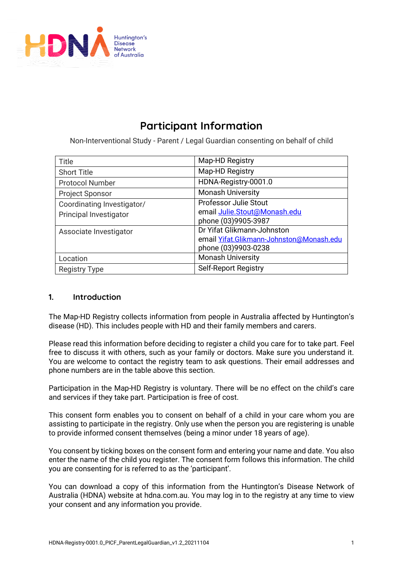

# **Participant Information**

Non-Interventional Study - Parent / Legal Guardian consenting on behalf of child

| Title                      | Map-HD Registry                          |
|----------------------------|------------------------------------------|
| <b>Short Title</b>         | Map-HD Registry                          |
| <b>Protocol Number</b>     | HDNA-Registry-0001.0                     |
| <b>Project Sponsor</b>     | <b>Monash University</b>                 |
| Coordinating Investigator/ | <b>Professor Julie Stout</b>             |
| Principal Investigator     | email Julie.Stout@Monash.edu             |
|                            | phone (03)9905-3987                      |
| Associate Investigator     | Dr Yifat Glikmann-Johnston               |
|                            | email Yifat.Glikmann-Johnston@Monash.edu |
|                            | phone (03)9903-0238                      |
| Location                   | <b>Monash University</b>                 |
| <b>Registry Type</b>       | <b>Self-Report Registry</b>              |

# **1. Introduction**

The Map-HD Registry collects information from people in Australia affected by Huntington's disease (HD). This includes people with HD and their family members and carers.

Please read this information before deciding to register a child you care for to take part. Feel free to discuss it with others, such as your family or doctors. Make sure you understand it. You are welcome to contact the registry team to ask questions. Their email addresses and phone numbers are in the table above this section.

Participation in the Map-HD Registry is voluntary. There will be no effect on the child's care and services if they take part. Participation is free of cost.

This consent form enables you to consent on behalf of a child in your care whom you are assisting to participate in the registry. Only use when the person you are registering is unable to provide informed consent themselves (being a minor under 18 years of age).

You consent by ticking boxes on the consent form and entering your name and date. You also enter the name of the child you register. The consent form follows this information. The child you are consenting for is referred to as the 'participant'.

You can download a copy of this information from the Huntington's Disease Network of Australia (HDNA) website at hdna.com.au. You may log in to the registry at any time to view your consent and any information you provide.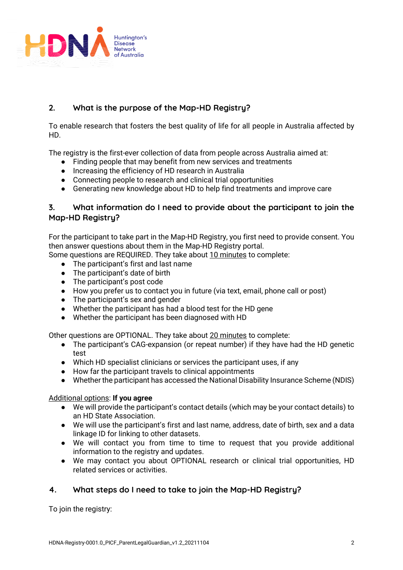

# **2. What is the purpose of the Map-HD Registry?**

To enable research that fosters the best quality of life for all people in Australia affected by HD.

The registry is the first-ever collection of data from people across Australia aimed at:

- Finding people that may benefit from new services and treatments
- Increasing the efficiency of HD research in Australia
- Connecting people to research and clinical trial opportunities
- Generating new knowledge about HD to help find treatments and improve care

# **3. What information do I need to provide about the participant to join the Map-HD Registry?**

For the participant to take part in the Map-HD Registry, you first need to provide consent. You then answer questions about them in the Map-HD Registry portal.

Some questions are REQUIRED. They take about 10 minutes to complete:

- The participant's first and last name
- The participant's date of birth
- The participant's post code
- How you prefer us to contact you in future (via text, email, phone call or post)
- The participant's sex and gender
- Whether the participant has had a blood test for the HD gene
- Whether the participant has been diagnosed with HD

Other questions are OPTIONAL. They take about 20 minutes to complete:

- The participant's CAG-expansion (or repeat number) if they have had the HD genetic test
- Which HD specialist clinicians or services the participant uses, if any
- How far the participant travels to clinical appointments
- Whether the participant has accessed the National Disability Insurance Scheme (NDIS)

## Additional options: **If you agree**

- We will provide the participant's contact details (which may be your contact details) to an HD State Association.
- We will use the participant's first and last name, address, date of birth, sex and a data linkage ID for linking to other datasets.
- We will contact you from time to time to request that you provide additional information to the registry and updates.
- We may contact you about OPTIONAL research or clinical trial opportunities, HD related services or activities.

# **4. What steps do I need to take to join the Map-HD Registry?**

To join the registry: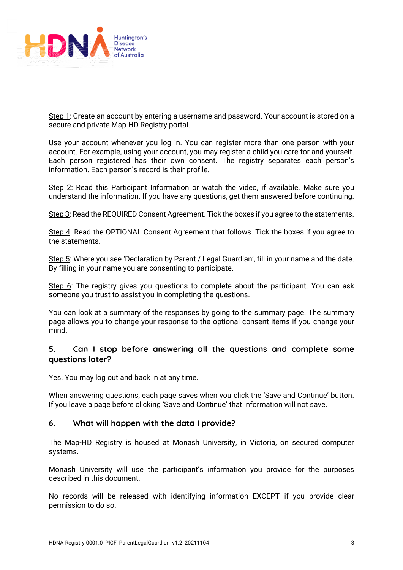

Step 1: Create an account by entering a username and password. Your account is stored on a secure and private Map-HD Registry portal.

Use your account whenever you log in. You can register more than one person with your account. For example, using your account, you may register a child you care for and yourself. Each person registered has their own consent. The registry separates each person's information. Each person's record is their profile.

Step 2: Read this Participant Information or watch the video, if available. Make sure you understand the information. If you have any questions, get them answered before continuing.

Step 3: Read the REQUIRED Consent Agreement. Tick the boxes if you agree to the statements.

Step 4: Read the OPTIONAL Consent Agreement that follows. Tick the boxes if you agree to the statements.

Step 5: Where you see 'Declaration by Parent / Legal Guardian', fill in your name and the date. By filling in your name you are consenting to participate.

Step 6: The registry gives you questions to complete about the participant. You can ask someone you trust to assist you in completing the questions.

You can look at a summary of the responses by going to the summary page. The summary page allows you to change your response to the optional consent items if you change your mind.

# **5. Can I stop before answering all the questions and complete some questions later?**

Yes. You may log out and back in at any time.

When answering questions, each page saves when you click the 'Save and Continue' button. If you leave a page before clicking 'Save and Continue' that information will not save.

## **6. What will happen with the data I provide?**

The Map-HD Registry is housed at Monash University, in Victoria, on secured computer systems.

Monash University will use the participant's information you provide for the purposes described in this document.

No records will be released with identifying information EXCEPT if you provide clear permission to do so.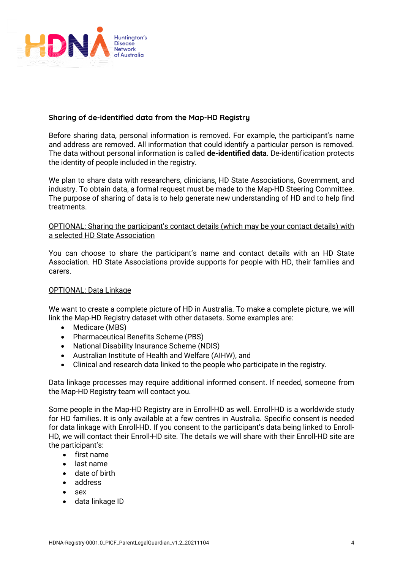

## **Sharing of de-identified data from the Map-HD Registry**

Before sharing data, personal information is removed. For example, the participant's name and address are removed. All information that could identify a particular person is removed. The data without personal information is called **de-identified data**. De-identification protects the identity of people included in the registry.

We plan to share data with researchers, clinicians, HD State Associations, Government, and industry. To obtain data, a formal request must be made to the Map-HD Steering Committee. The purpose of sharing of data is to help generate new understanding of HD and to help find treatments.

## OPTIONAL: Sharing the participant's contact details (which may be your contact details) with a selected HD State Association

You can choose to share the participant's name and contact details with an HD State Association. HD State Associations provide supports for people with HD, their families and carers.

## OPTIONAL: Data Linkage

We want to create a complete picture of HD in Australia. To make a complete picture, we will link the Map-HD Registry dataset with other datasets. Some examples are:

- Medicare (MBS)
- Pharmaceutical Benefits Scheme (PBS)
- National Disability Insurance Scheme (NDIS)
- Australian Institute of Health and Welfare (AIHW), and
- Clinical and research data linked to the people who participate in the registry.

Data linkage processes may require additional informed consent. If needed, someone from the Map-HD Registry team will contact you.

Some people in the Map-HD Registry are in Enroll-HD as well. Enroll-HD is a worldwide study for HD families. It is only available at a few centres in Australia. Specific consent is needed for data linkage with Enroll-HD. If you consent to the participant's data being linked to Enroll-HD, we will contact their Enroll-HD site. The details we will share with their Enroll-HD site are the participant's:

- first name
- last name
- date of birth
- address
- sex
- data linkage ID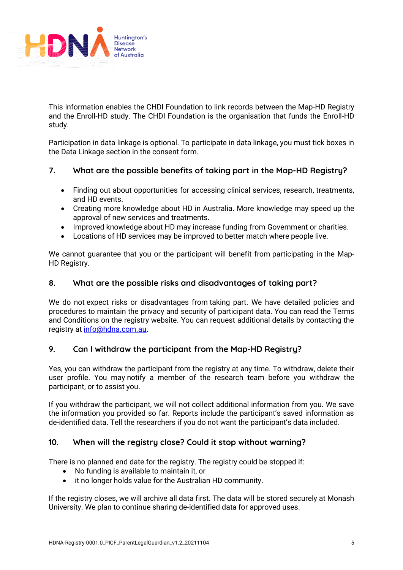

This information enables the CHDI Foundation to link records between the Map-HD Registry and the Enroll-HD study. The CHDI Foundation is the organisation that funds the Enroll-HD study.

Participation in data linkage is optional. To participate in data linkage, you must tick boxes in the Data Linkage section in the consent form.

## **7. What are the possible benefits of taking part in the Map-HD Registry?**

- Finding out about opportunities for accessing clinical services, research, treatments, and HD events.
- Creating more knowledge about HD in Australia. More knowledge may speed up the approval of new services and treatments.
- Improved knowledge about HD may increase funding from Government or charities.
- Locations of HD services may be improved to better match where people live.

We cannot guarantee that you or the participant will benefit from participating in the Map-HD Registry.

## **8. What are the possible risks and disadvantages of taking part?**

We do not expect risks or disadvantages from taking part. We have detailed policies and procedures to maintain the privacy and security of participant data. You can read the Terms and Conditions on the registry website. You can request additional details by contacting the registry a[t info@hdna.com.au.](about:blank)

# **9. Can I withdraw the participant from the Map-HD Registry?**

Yes, you can withdraw the participant from the registry at any time. To withdraw, delete their user profile. You may notify a member of the research team before you withdraw the participant, or to assist you.

If you withdraw the participant, we will not collect additional information from you. We save the information you provided so far. Reports include the participant's saved information as de-identified data. Tell the researchers if you do not want the participant's data included.

# **10. When will the registry close? Could it stop without warning?**

There is no planned end date for the registry. The registry could be stopped if:

- No funding is available to maintain it, or
- it no longer holds value for the Australian HD community.

If the registry closes, we will archive all data first. The data will be stored securely at Monash University. We plan to continue sharing de-identified data for approved uses.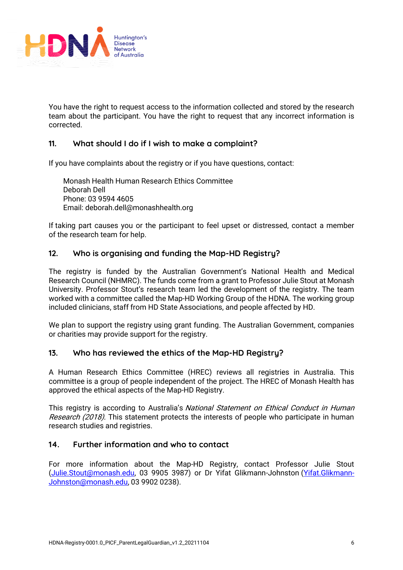

You have the right to request access to the information collected and stored by the research team about the participant. You have the right to request that any incorrect information is corrected.

## **11. What should I do if I wish to make a complaint?**

If you have complaints about the registry or if you have questions, contact:

Monash Health Human Research Ethics Committee Deborah Dell Phone: 03 9594 4605 Email: deborah.dell@monashhealth.org

If taking part causes you or the participant to feel upset or distressed, contact a member of the research team for help.

## **12. Who is organising and funding the Map-HD Registry?**

The registry is funded by the Australian Government's National Health and Medical Research Council (NHMRC). The funds come from a grant to Professor Julie Stout at Monash University. Professor Stout's research team led the development of the registry. The team worked with a committee called the Map-HD Working Group of the HDNA. The working group included clinicians, staff from HD State Associations, and people affected by HD.

We plan to support the registry using grant funding. The Australian Government, companies or charities may provide support for the registry.

## **13. Who has reviewed the ethics of the Map-HD Registry?**

A Human Research Ethics Committee (HREC) reviews all registries in Australia. This committee is a group of people independent of the project. The HREC of Monash Health has approved the ethical aspects of the Map-HD Registry.

This registry is according to Australia's National Statement on Ethical Conduct in Human Research (2018). This statement protects the interests of people who participate in human research studies and registries.

## **14. Further information and who to contact**

For more information about the Map-HD Registry, contact Professor Julie Stout (Julie.Stout@monash.edu, 03 9905 3987) or Dr Yifat Glikmann-Johnston (Yifat.Glikmann-Johnston@monash.edu, 03 9902 0238).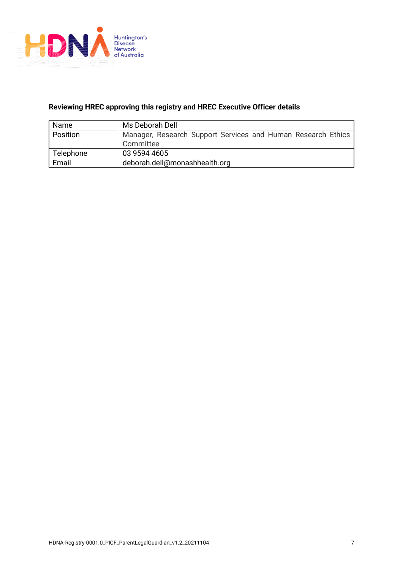

## **Reviewing HREC approving this registry and HREC Executive Officer details**

| <b>Name</b> | Ms Deborah Dell                                              |
|-------------|--------------------------------------------------------------|
| Position    | Manager, Research Support Services and Human Research Ethics |
|             | Committee                                                    |
| Telephone   | 03 9594 4605                                                 |
| Email       | deborah.dell@monashhealth.org                                |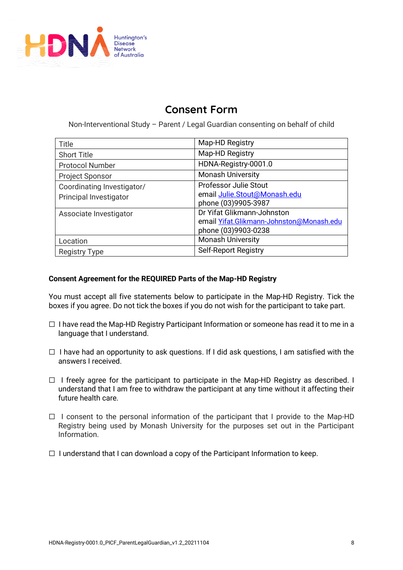

# **Consent Form**

Non-Interventional Study – Parent / Legal Guardian consenting on behalf of child

| Title                      | Map-HD Registry                          |
|----------------------------|------------------------------------------|
| <b>Short Title</b>         | Map-HD Registry                          |
| <b>Protocol Number</b>     | HDNA-Registry-0001.0                     |
| <b>Project Sponsor</b>     | <b>Monash University</b>                 |
| Coordinating Investigator/ | <b>Professor Julie Stout</b>             |
| Principal Investigator     | email Julie.Stout@Monash.edu             |
|                            | phone (03)9905-3987                      |
| Associate Investigator     | Dr Yifat Glikmann-Johnston               |
|                            | email Yifat.Glikmann-Johnston@Monash.edu |
|                            | phone (03)9903-0238                      |
| Location                   | <b>Monash University</b>                 |
| <b>Registry Type</b>       | Self-Report Registry                     |

## **Consent Agreement for the REQUIRED Parts of the Map-HD Registry**

You must accept all five statements below to participate in the Map-HD Registry. Tick the boxes if you agree. Do not tick the boxes if you do not wish for the participant to take part.

- $\Box$  I have read the Map-HD Registry Participant Information or someone has read it to me in a language that I understand.
- $\Box$  I have had an opportunity to ask questions. If I did ask questions, I am satisfied with the answers I received.
- □ I freely agree for the participant to participate in the Map-HD Registry as described. I understand that I am free to withdraw the participant at any time without it affecting their future health care.
- $\Box$  I consent to the personal information of the participant that I provide to the Map-HD Registry being used by Monash University for the purposes set out in the Participant Information.
- $\Box$  I understand that I can download a copy of the Participant Information to keep.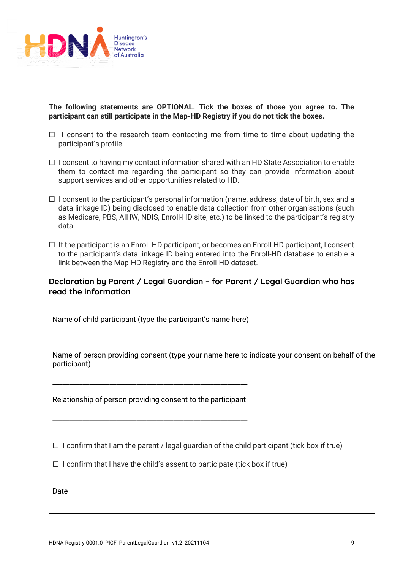

 $\overline{\phantom{a}}$ 

**The following statements are OPTIONAL. Tick the boxes of those you agree to. The participant can still participate in the Map-HD Registry if you do not tick the boxes.** 

- $\Box$  I consent to the research team contacting me from time to time about updating the participant's profile.
- $\Box$  I consent to having my contact information shared with an HD State Association to enable them to contact me regarding the participant so they can provide information about support services and other opportunities related to HD.
- $\Box$  I consent to the participant's personal information (name, address, date of birth, sex and a data linkage ID) being disclosed to enable data collection from other organisations (such as Medicare, PBS, AIHW, NDIS, Enroll-HD site, etc.) to be linked to the participant's registry data.
- $\Box$  If the participant is an Enroll-HD participant, or becomes an Enroll-HD participant, I consent to the participant's data linkage ID being entered into the Enroll-HD database to enable a link between the Map-HD Registry and the Enroll-HD dataset.

# **Declaration by Parent / Legal Guardian – for Parent / Legal Guardian who has read the information**

Name of child participant (type the participant's name here)

\_\_\_\_\_\_\_\_\_\_\_\_\_\_\_\_\_\_\_\_\_\_\_\_\_\_\_\_\_\_\_\_\_\_\_\_\_\_\_\_\_\_\_\_\_\_\_\_\_\_\_\_\_\_\_\_\_\_

Name of person providing consent (type your name here to indicate your consent on behalf of the participant)

Relationship of person providing consent to the participant

\_\_\_\_\_\_\_\_\_\_\_\_\_\_\_\_\_\_\_\_\_\_\_\_\_\_\_\_\_\_\_\_\_\_\_\_\_\_\_\_\_\_\_\_\_\_\_\_\_\_\_\_\_\_\_\_\_\_

\_\_\_\_\_\_\_\_\_\_\_\_\_\_\_\_\_\_\_\_\_\_\_\_\_\_\_\_\_\_\_\_\_\_\_\_\_\_\_\_\_\_\_\_\_\_\_\_\_\_\_\_\_\_\_\_\_\_

 $\Box$  I confirm that I am the parent / legal guardian of the child participant (tick box if true)

 $\Box$  I confirm that I have the child's assent to participate (tick box if true)

Date \_\_\_\_\_\_\_\_\_\_\_\_\_\_\_\_\_\_\_\_\_\_\_\_\_\_\_\_\_\_